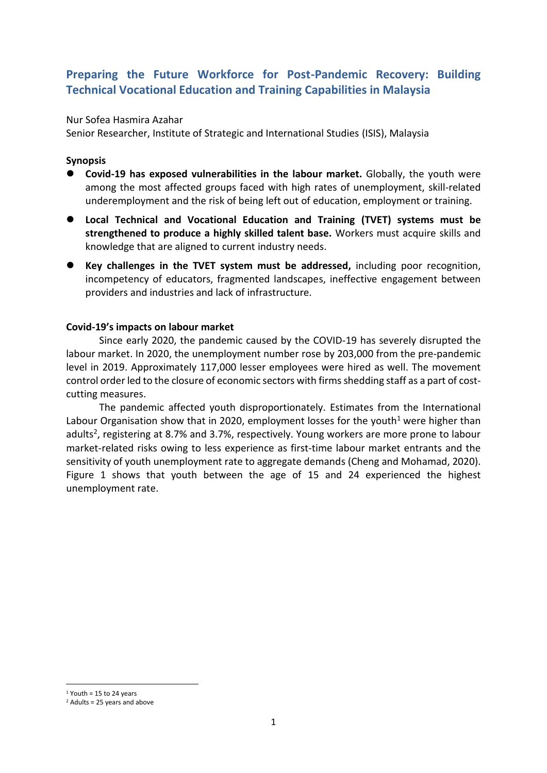# **Preparing the Future Workforce for Post-Pandemic Recovery: Building Technical Vocational Education and Training Capabilities in Malaysia**

### Nur Sofea Hasmira Azahar

Senior Researcher, Institute of Strategic and International Studies (ISIS), Malaysia

### **Synopsis**

- ⚫ **Covid-19 has exposed vulnerabilities in the labour market.** Globally, the youth were among the most affected groups faced with high rates of unemployment, skill-related underemployment and the risk of being left out of education, employment or training.
- ⚫ **Local Technical and Vocational Education and Training (TVET) systems must be strengthened to produce a highly skilled talent base.** Workers must acquire skills and knowledge that are aligned to current industry needs.
- ⚫ **Key challenges in the TVET system must be addressed,** including poor recognition, incompetency of educators, fragmented landscapes, ineffective engagement between providers and industries and lack of infrastructure.

### **Covid-19's impacts on labour market**

Since early 2020, the pandemic caused by the COVID-19 has severely disrupted the labour market. In 2020, the unemployment number rose by 203,000 from the pre-pandemic level in 2019. Approximately 117,000 lesser employees were hired as well. The movement control order led to the closure of economic sectors with firms shedding staff as a part of costcutting measures.

The pandemic affected youth disproportionately. Estimates from the International Labour Organisation show that in 2020, employment losses for the youth<sup>1</sup> were higher than adults<sup>2</sup>, registering at 8.7% and 3.7%, respectively. Young workers are more prone to labour market-related risks owing to less experience as first-time labour market entrants and the sensitivity of youth unemployment rate to aggregate demands (Cheng and Mohamad, 2020). Figure 1 shows that youth between the age of 15 and 24 experienced the highest unemployment rate.

 $1$  Youth = 15 to 24 years

 $2$  Adults = 25 years and above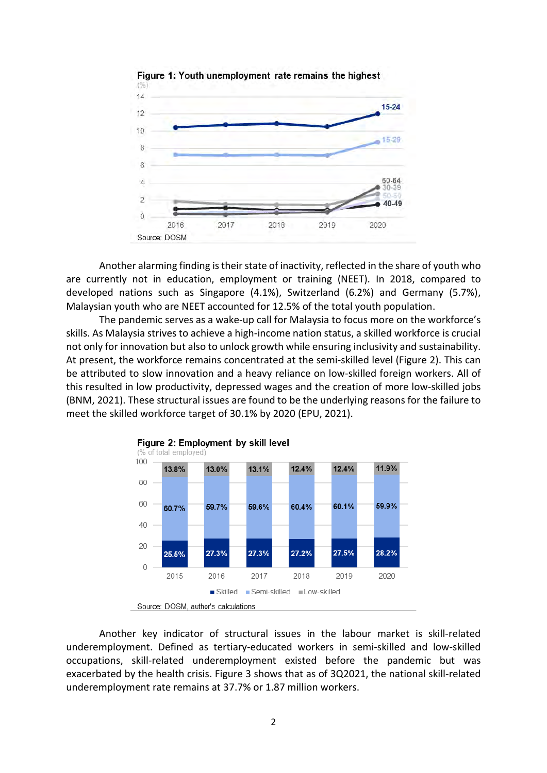

Figure 1: Youth unemployment rate remains the highest

Another alarming finding is their state of inactivity, reflected in the share of youth who are currently not in education, employment or training (NEET). In 2018, compared to developed nations such as Singapore (4.1%), Switzerland (6.2%) and Germany (5.7%), Malaysian youth who are NEET accounted for 12.5% of the total youth population.

The pandemic serves as a wake-up call for Malaysia to focus more on the workforce's skills. As Malaysia strives to achieve a high-income nation status, a skilled workforce is crucial not only for innovation but also to unlock growth while ensuring inclusivity and sustainability. At present, the workforce remains concentrated at the semi-skilled level (Figure 2). This can be attributed to slow innovation and a heavy reliance on low-skilled foreign workers. All of this resulted in low productivity, depressed wages and the creation of more low-skilled jobs (BNM, 2021). These structural issues are found to be the underlying reasons for the failure to meet the skilled workforce target of 30.1% by 2020 (EPU, 2021).



Source: DOSM, author's calculations

Another key indicator of structural issues in the labour market is skill-related underemployment. Defined as tertiary-educated workers in semi-skilled and low-skilled occupations, skill-related underemployment existed before the pandemic but was exacerbated by the health crisis. Figure 3 shows that as of 3Q2021, the national skill-related underemployment rate remains at 37.7% or 1.87 million workers.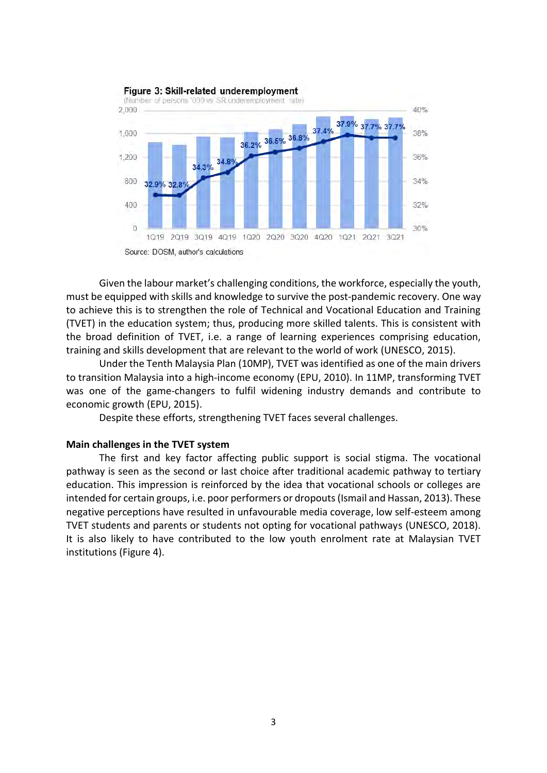

Given the labour market's challenging conditions, the workforce, especially the youth, must be equipped with skills and knowledge to survive the post-pandemic recovery. One way to achieve this is to strengthen the role of Technical and Vocational Education and Training (TVET) in the education system; thus, producing more skilled talents. This is consistent with the broad definition of TVET, i.e. a range of learning experiences comprising education, training and skills development that are relevant to the world of work (UNESCO, 2015).

Under the Tenth Malaysia Plan (10MP), TVET was identified as one of the main drivers to transition Malaysia into a high-income economy (EPU, 2010). In 11MP, transforming TVET was one of the game-changers to fulfil widening industry demands and contribute to economic growth (EPU, 2015).

Despite these efforts, strengthening TVET faces several challenges.

#### **Main challenges in the TVET system**

The first and key factor affecting public support is social stigma. The vocational pathway is seen as the second or last choice after traditional academic pathway to tertiary education. This impression is reinforced by the idea that vocational schools or colleges are intended for certain groups, i.e. poor performers or dropouts (Ismail and Hassan, 2013). These negative perceptions have resulted in unfavourable media coverage, low self-esteem among TVET students and parents or students not opting for vocational pathways (UNESCO, 2018). It is also likely to have contributed to the low youth enrolment rate at Malaysian TVET institutions (Figure 4).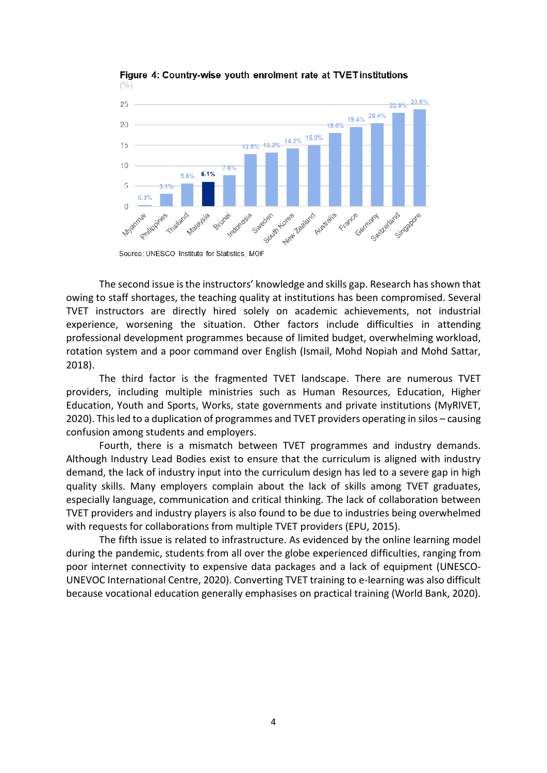

Figure 4: Country-wise youth enrolment rate at TVET institutions  $(%)$ 

The second issue is the instructors' knowledge and skills gap. Research has shown that owing to staff shortages, the teaching quality at institutions has been compromised. Several TVET instructors are directly hired solely on academic achievements, not industrial experience, worsening the situation. Other factors include difficulties in attending professional development programmes because of limited budget, overwhelming workload, rotation system and a poor command over English (Ismail, Mohd Nopiah and Mohd Sattar, 2018).

The third factor is the fragmented TVET landscape. There are numerous TVET providers, including multiple ministries such as Human Resources, Education, Higher Education, Youth and Sports, Works, state governments and private institutions (MyRIVET, 2020). Thisled to a duplication of programmes and TVET providers operating in silos – causing confusion among students and employers.

Fourth, there is a mismatch between TVET programmes and industry demands. Although Industry Lead Bodies exist to ensure that the curriculum is aligned with industry demand, the lack of industry input into the curriculum design has led to a severe gap in high quality skills. Many employers complain about the lack of skills among TVET graduates, especially language, communication and critical thinking. The lack of collaboration between TVET providers and industry players is also found to be due to industries being overwhelmed with requests for collaborations from multiple TVET providers (EPU, 2015).

The fifth issue is related to infrastructure. As evidenced by the online learning model during the pandemic, students from all over the globe experienced difficulties, ranging from poor internet connectivity to expensive data packages and a lack of equipment (UNESCO-UNEVOC International Centre, 2020). Converting TVET training to e-learning was also difficult because vocational education generally emphasises on practical training (World Bank, 2020).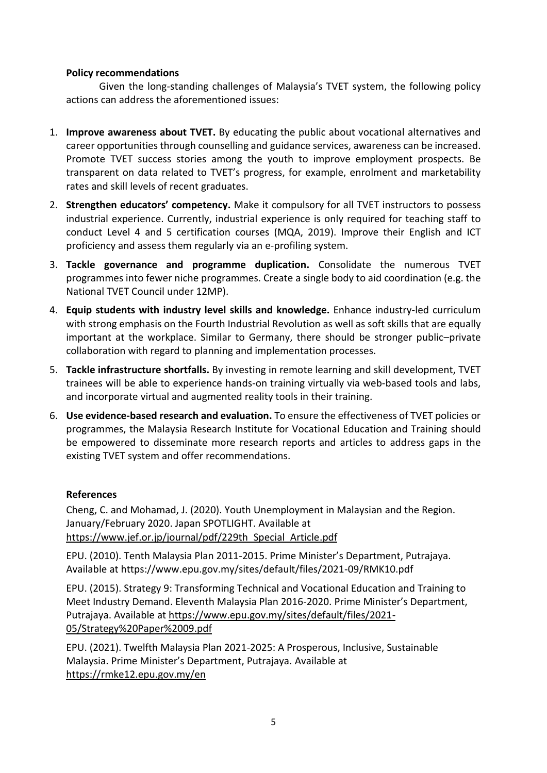## **Policy recommendations**

Given the long-standing challenges of Malaysia's TVET system, the following policy actions can address the aforementioned issues:

- 1. **Improve awareness about TVET.** By educating the public about vocational alternatives and career opportunities through counselling and guidance services, awareness can be increased. Promote TVET success stories among the youth to improve employment prospects. Be transparent on data related to TVET's progress, for example, enrolment and marketability rates and skill levels of recent graduates.
- 2. **Strengthen educators' competency.** Make it compulsory for all TVET instructors to possess industrial experience. Currently, industrial experience is only required for teaching staff to conduct Level 4 and 5 certification courses (MQA, 2019). Improve their English and ICT proficiency and assess them regularly via an e-profiling system.
- 3. **Tackle governance and programme duplication.** Consolidate the numerous TVET programmes into fewer niche programmes. Create a single body to aid coordination (e.g. the National TVET Council under 12MP).
- 4. **Equip students with industry level skills and knowledge.** Enhance industry-led curriculum with strong emphasis on the Fourth Industrial Revolution as well as soft skills that are equally important at the workplace. Similar to Germany, there should be stronger public–private collaboration with regard to planning and implementation processes.
- 5. **Tackle infrastructure shortfalls.** By investing in remote learning and skill development, TVET trainees will be able to experience hands-on training virtually via web-based tools and labs, and incorporate virtual and augmented reality tools in their training.
- 6. **Use evidence-based research and evaluation.** To ensure the effectiveness of TVET policies or programmes, the Malaysia Research Institute for Vocational Education and Training should be empowered to disseminate more research reports and articles to address gaps in the existing TVET system and offer recommendations.

## **References**

Cheng, C. and Mohamad, J. (2020). Youth Unemployment in Malaysian and the Region. January/February 2020. Japan SPOTLIGHT. Available at [https://www.jef.or.jp/journal/pdf/229th\\_Special\\_Article.pdf](https://www.jef.or.jp/journal/pdf/229th_Special_Article.pdf)

EPU. (2010). Tenth Malaysia Plan 2011-2015. Prime Minister's Department, Putrajaya. Available at https://www.epu.gov.my/sites/default/files/2021-09/RMK10.pdf

EPU. (2015). Strategy 9: Transforming Technical and Vocational Education and Training to Meet Industry Demand. Eleventh Malaysia Plan 2016-2020. Prime Minister's Department, Putrajaya. Available at [https://www.epu.gov.my/sites/default/files/2021-](https://www.epu.gov.my/sites/default/files/2021-05/Strategy%20Paper%2009.pdf) [05/Strategy%20Paper%2009.pdf](https://www.epu.gov.my/sites/default/files/2021-05/Strategy%20Paper%2009.pdf)

EPU. (2021). Twelfth Malaysia Plan 2021-2025: A Prosperous, Inclusive, Sustainable Malaysia. Prime Minister's Department, Putrajaya. Available at <https://rmke12.epu.gov.my/en>